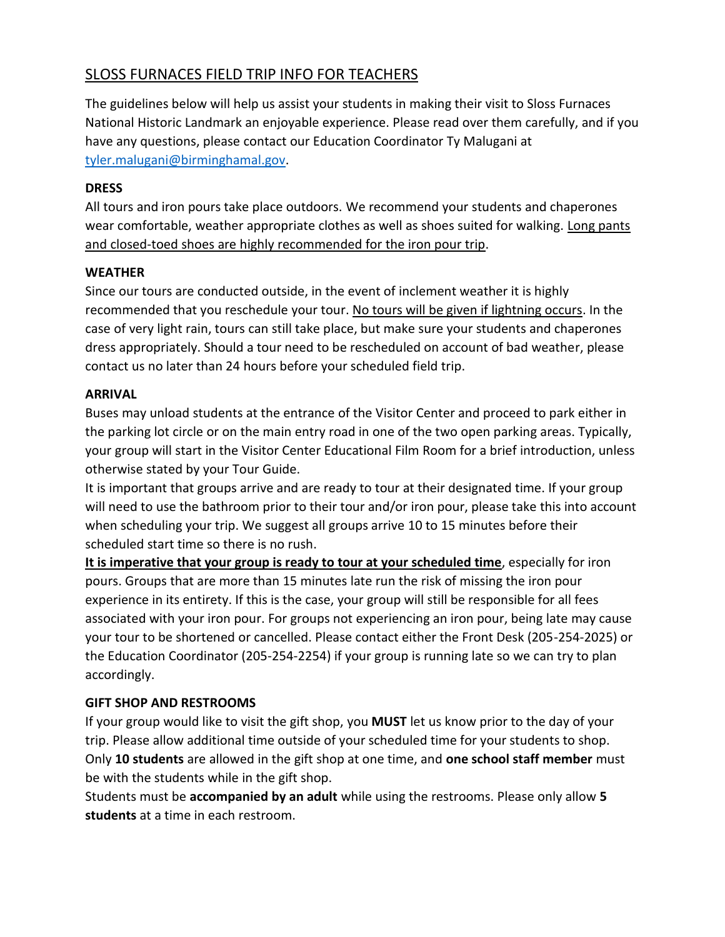# SLOSS FURNACES FIELD TRIP INFO FOR TEACHERS

The guidelines below will help us assist your students in making their visit to Sloss Furnaces National Historic Landmark an enjoyable experience. Please read over them carefully, and if you have any questions, please contact our Education Coordinator Ty Malugani at [tyler.malugani@birminghamal.gov.](mailto:tyler.malugani@birminghamal.gov)

#### **DRESS**

All tours and iron pours take place outdoors. We recommend your students and chaperones wear comfortable, weather appropriate clothes as well as shoes suited for walking. Long pants and closed-toed shoes are highly recommended for the iron pour trip.

### **WEATHER**

Since our tours are conducted outside, in the event of inclement weather it is highly recommended that you reschedule your tour. No tours will be given if lightning occurs. In the case of very light rain, tours can still take place, but make sure your students and chaperones dress appropriately. Should a tour need to be rescheduled on account of bad weather, please contact us no later than 24 hours before your scheduled field trip.

#### **ARRIVAL**

Buses may unload students at the entrance of the Visitor Center and proceed to park either in the parking lot circle or on the main entry road in one of the two open parking areas. Typically, your group will start in the Visitor Center Educational Film Room for a brief introduction, unless otherwise stated by your Tour Guide.

It is important that groups arrive and are ready to tour at their designated time. If your group will need to use the bathroom prior to their tour and/or iron pour, please take this into account when scheduling your trip. We suggest all groups arrive 10 to 15 minutes before their scheduled start time so there is no rush.

**It is imperative that your group is ready to tour at your scheduled time**, especially for iron pours. Groups that are more than 15 minutes late run the risk of missing the iron pour experience in its entirety. If this is the case, your group will still be responsible for all fees associated with your iron pour. For groups not experiencing an iron pour, being late may cause your tour to be shortened or cancelled. Please contact either the Front Desk (205-254-2025) or the Education Coordinator (205-254-2254) if your group is running late so we can try to plan accordingly.

### **GIFT SHOP AND RESTROOMS**

If your group would like to visit the gift shop, you **MUST** let us know prior to the day of your trip. Please allow additional time outside of your scheduled time for your students to shop. Only **10 students** are allowed in the gift shop at one time, and **one school staff member** must be with the students while in the gift shop.

Students must be **accompanied by an adult** while using the restrooms. Please only allow **5 students** at a time in each restroom.